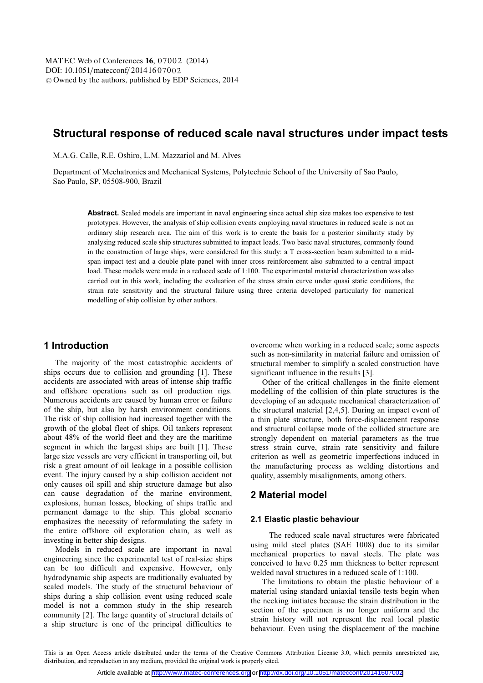# **Structural response of reduced scale naval structures under impact tests**

M.A.G. Calle, R.E. Oshiro, L.M. Mazzariol and M. Alves

Department of Mechatronics and Mechanical Systems, Polytechnic School of the University of Sao Paulo, Sao Paulo, SP, 05508-900, Brazil

**Abstract.** Scaled models are important in naval engineering since actual ship size makes too expensive to test prototypes. However, the analysis of ship collision events employing naval structures in reduced scale is not an ordinary ship research area. The aim of this work is to create the basis for a posterior similarity study by analysing reduced scale ship structures submitted to impact loads. Two basic naval structures, commonly found in the construction of large ships, were considered for this study: a T cross-section beam submitted to a midspan impact test and a double plate panel with inner cross reinforcement also submitted to a central impact load. These models were made in a reduced scale of 1:100. The experimental material characterization was also carried out in this work, including the evaluation of the stress strain curve under quasi static conditions, the strain rate sensitivity and the structural failure using three criteria developed particularly for numerical modelling of ship collision by other authors.

### **1 Introduction**

The majority of the most catastrophic accidents of ships occurs due to collision and grounding [1]. These accidents are associated with areas of intense ship traffic and offshore operations such as oil production rigs. Numerous accidents are caused by human error or failure of the ship, but also by harsh environment conditions. The risk of ship collision had increased together with the growth of the global fleet of ships. Oil tankers represent about 48% of the world fleet and they are the maritime segment in which the largest ships are built [1]. These large size vessels are very efficient in transporting oil, but risk a great amount of oil leakage in a possible collision event. The injury caused by a ship collision accident not only causes oil spill and ship structure damage but also can cause degradation of the marine environment, explosions, human losses, blocking of ships traffic and permanent damage to the ship. This global scenario emphasizes the necessity of reformulating the safety in the entire offshore oil exploration chain, as well as investing in better ship designs.

Models in reduced scale are important in naval engineering since the experimental test of real-size ships can be too difficult and expensive. However, only hydrodynamic ship aspects are traditionally evaluated by scaled models. The study of the structural behaviour of ships during a ship collision event using reduced scale model is not a common study in the ship research community [2]. The large quantity of structural details of a ship structure is one of the principal difficulties to

overcome when working in a reduced scale; some aspects such as non-similarity in material failure and omission of structural member to simplify a scaled construction have significant influence in the results [3].

Other of the critical challenges in the finite element modelling of the collision of thin plate structures is the developing of an adequate mechanical characterization of the structural material [2,4,5]. During an impact event of a thin plate structure, both force-displacement response and structural collapse mode of the collided structure are strongly dependent on material parameters as the true stress strain curve, strain rate sensitivity and failure criterion as well as geometric imperfections induced in the manufacturing process as welding distortions and quality, assembly misalignments, among others.

## **2 Material model**

#### **2.1 Elastic plastic behaviour**

The reduced scale naval structures were fabricated using mild steel plates (SAE 1008) due to its similar mechanical properties to naval steels. The plate was conceived to have 0.25 mm thickness to better represent welded naval structures in a reduced scale of 1:100.

The limitations to obtain the plastic behaviour of a material using standard uniaxial tensile tests begin when the necking initiates because the strain distribution in the section of the specimen is no longer uniform and the strain history will not represent the real local plastic behaviour. Even using the displacement of the machine

This is an Open Access article distributed under the terms of the Creative Commons Attribution License 3.0, which permits unrestricted use, distribution, and reproduction in any medium, provided the original work is properly cited.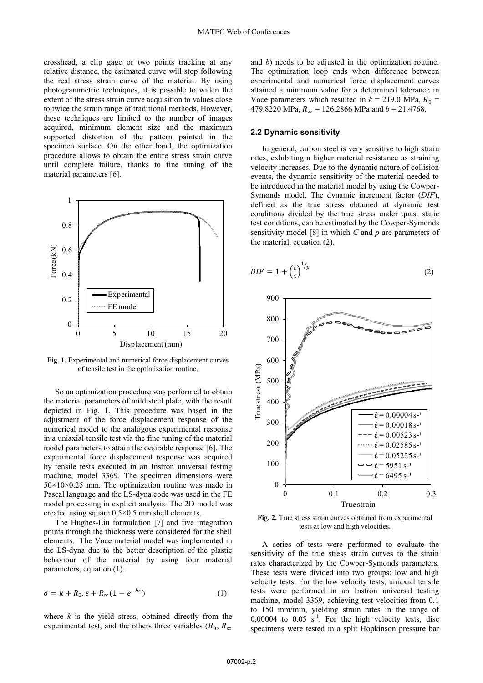crosshead, a clip gage or two points tracking at any relative distance, the estimated curve will stop following the real stress strain curve of the material. By using photogrammetric techniques, it is possible to widen the extent of the stress strain curve acquisition to values close to twice the strain range of traditional methods. However, these techniques are limited to the number of images acquired, minimum element size and the maximum supported distortion of the pattern painted in the specimen surface. On the other hand, the optimization procedure allows to obtain the entire stress strain curve until complete failure, thanks to fine tuning of the material parameters [6].



**Fig. 1.** Experimental and numerical force displacement curves of tensile test in the optimization routine.

 So an optimization procedure was performed to obtain the material parameters of mild steel plate, with the result depicted in Fig. 1. This procedure was based in the adjustment of the force displacement response of the numerical model to the analogous experimental response in a uniaxial tensile test via the fine tuning of the material model parameters to attain the desirable response [6]. The experimental force displacement response was acquired by tensile tests executed in an Instron universal testing machine, model 3369. The specimen dimensions were  $50\times10\times0.25$  mm. The optimization routine was made in Pascal language and the LS-dyna code was used in the FE model processing in explicit analysis. The 2D model was created using square 0.5×0.5 mm shell elements.

 The Hughes-Liu formulation [7] and five integration points through the thickness were considered for the shell elements. The Voce material model was implemented in the LS-dyna due to the better description of the plastic behaviour of the material by using four material parameters, equation (1).

$$
\sigma = k + R_0 \t\t\epsilon + R_\infty (1 - e^{-b\varepsilon}) \t\t(1)
$$

where  $k$  is the yield stress, obtained directly from the experimental test, and the others three variables ( $R_0$ ,  $R_\infty$ )

and *b*) needs to be adjusted in the optimization routine. The optimization loop ends when difference between experimental and numerical force displacement curves attained a minimum value for a determined tolerance in Voce parameters which resulted in  $k = 219.0$  MPa,  $R_0 =$ 479.8220 MPa,  $R_{\infty}$  = 126.2866 MPa and *b* = 21.4768.

### **2.2 Dynamic sensitivity**

In general, carbon steel is very sensitive to high strain rates, exhibiting a higher material resistance as straining velocity increases. Due to the dynamic nature of collision events, the dynamic sensitivity of the material needed to be introduced in the material model by using the Cowper-Symonds model. The dynamic increment factor (*DIF*), defined as the true stress obtained at dynamic test conditions divided by the true stress under quasi static test conditions, can be estimated by the Cowper-Symonds sensitivity model [8] in which *C* and *p* are parameters of the material, equation (2).

$$
DIF = 1 + \left(\frac{\dot{\varepsilon}}{c}\right)^{1/p} \tag{2}
$$



**Fig. 2.** True stress strain curves obtained from experimental tests at low and high velocities.

A series of tests were performed to evaluate the sensitivity of the true stress strain curves to the strain rates characterized by the Cowper-Symonds parameters. These tests were divided into two groups: low and high velocity tests. For the low velocity tests, uniaxial tensile tests were performed in an Instron universal testing machine, model 3369, achieving test velocities from 0.1 to 150 mm/min, yielding strain rates in the range of  $0.00004$  to  $0.05$  s<sup>-1</sup>. For the high velocity tests, disc specimens were tested in a split Hopkinson pressure bar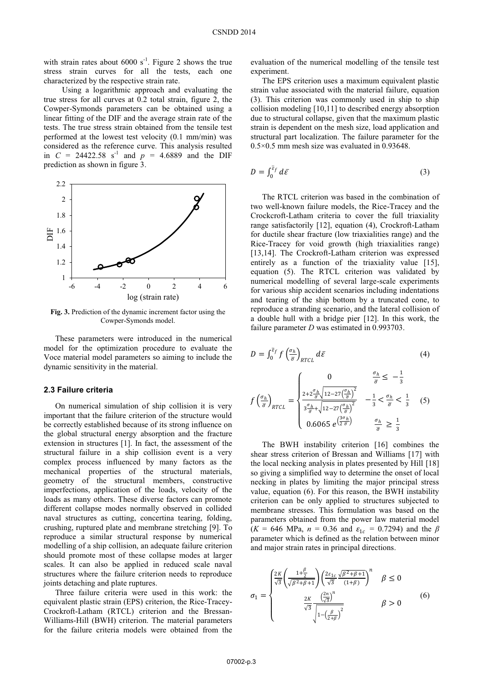with strain rates about  $6000 \text{ s}^{-1}$ . Figure 2 shows the true stress strain curves for all the tests, each one characterized by the respective strain rate.

Using a logarithmic approach and evaluating the true stress for all curves at 0.2 total strain, figure 2, the Cowper-Symonds parameters can be obtained using a linear fitting of the DIF and the average strain rate of the tests. The true stress strain obtained from the tensile test performed at the lowest test velocity (0.1 mm/min) was considered as the reference curve. This analysis resulted in *C* = 24422.58 s<sup>-1</sup> and *p* = 4.6889 and the DIF prediction as shown in figure 3.



**Fig. 3.** Prediction of the dynamic increment factor using the Cowper-Symonds model.

These parameters were introduced in the numerical model for the optimization procedure to evaluate the Voce material model parameters so aiming to include the dynamic sensitivity in the material.

### **2.3 Failure criteria**

On numerical simulation of ship collision it is very important that the failure criterion of the structure would be correctly established because of its strong influence on the global structural energy absorption and the fracture extension in structures [1]. In fact, the assessment of the structural failure in a ship collision event is a very complex process influenced by many factors as the mechanical properties of the structural materials, geometry of the structural members, constructive imperfections, application of the loads, velocity of the loads as many others. These diverse factors can promote different collapse modes normally observed in collided naval structures as cutting, concertina tearing, folding, crushing, ruptured plate and membrane stretching [9]. To reproduce a similar structural response by numerical modelling of a ship collision, an adequate failure criterion should promote most of these collapse modes at larger scales. It can also be applied in reduced scale naval structures where the failure criterion needs to reproduce joints detaching and plate ruptures.

Three failure criteria were used in this work: the equivalent plastic strain (EPS) criterion, the Rice-Tracey-Crockroft-Latham (RTCL) criterion and the Bressan-Williams-Hill (BWH) criterion. The material parameters for the failure criteria models were obtained from the

evaluation of the numerical modelling of the tensile test experiment.

The EPS criterion uses a maximum equivalent plastic strain value associated with the material failure, equation (3). This criterion was commonly used in ship to ship collision modeling [10,11] to described energy absorption due to structural collapse, given that the maximum plastic strain is dependent on the mesh size, load application and structural part localization. The failure parameter for the 0.5×0.5 mm mesh size was evaluated in 0.93648.

$$
D = \int_0^{\bar{\varepsilon}_f} d\bar{\varepsilon} \tag{3}
$$

 The RTCL criterion was based in the combination of two well-known failure models, the Rice-Tracey and the Crockcroft-Latham criteria to cover the full triaxiality range satisfactorily [12], equation (4), Crockroft-Latham for ductile shear fracture (low triaxialities range) and the Rice-Tracey for void growth (high triaxialities range) [13,14]. The Crockroft-Latham criterion was expressed entirely as a function of the triaxiality value [15], equation (5). The RTCL criterion was validated by numerical modelling of several large-scale experiments for various ship accident scenarios including indentations and tearing of the ship bottom by a truncated cone, to reproduce a stranding scenario, and the lateral collision of a double hull with a bridge pier [12]. In this work, the failure parameter *D* was estimated in 0.993703.

$$
D = \int_0^{\overline{\varepsilon}_f} f\left(\frac{\sigma_h}{\overline{\sigma}}\right)_{RTCL} d\overline{\varepsilon}
$$
 (4)

$$
f\left(\frac{\sigma_h}{\overline{\sigma}}\right)_{RTCL} = \begin{cases} 0 & \frac{\sigma_h}{\overline{\sigma}} \le -\frac{1}{3} \\ \frac{2 + 2\frac{\sigma_h}{\overline{\sigma}} \sqrt{12 - 27\left(\frac{\sigma_h}{\overline{\sigma}}\right)^2}}{3\frac{\sigma_h}{\overline{\sigma}} + \sqrt{12 - 27\left(\frac{\sigma_h}{\overline{\sigma}}\right)^2}} & -\frac{1}{3} < \frac{\sigma_h}{\overline{\sigma}} < \frac{1}{3} \\ 0.6065 e^{\frac{3\sigma_h}{2\overline{\sigma}}} & \frac{\sigma_h}{\overline{\sigma}} \ge \frac{1}{3} \end{cases} (5)
$$

 The BWH instability criterion [16] combines the shear stress criterion of Bressan and Williams [17] with the local necking analysis in plates presented by Hill [18] so giving a simplified way to determine the onset of local necking in plates by limiting the major principal stress value, equation (6). For this reason, the BWH instability criterion can be only applied to structures subjected to membrane stresses. This formulation was based on the parameters obtained from the power law material model  $(K = 646 \text{ MPa}, n = 0.36 \text{ and } \varepsilon_{1c} = 0.7294)$  and the *β* parameter which is defined as the relation between minor and major strain rates in principal directions.

$$
\sigma_1 = \begin{cases} \frac{2K}{\sqrt{3}} \left( \frac{1+\frac{\beta}{2}}{\sqrt{\beta^2+\beta+1}} \right) \left( \frac{2\varepsilon_{1c}}{\sqrt{3}} \frac{\sqrt{\beta^2+\beta+1}}{(1+\beta)} \right)^n & \beta \le 0\\ \frac{2K}{\sqrt{3}} \frac{\left( \frac{2n}{\sqrt{3}} \right)^n}{\sqrt{1-\left( \frac{\beta}{2+\beta} \right)^2}} & \beta > 0 \end{cases} \tag{6}
$$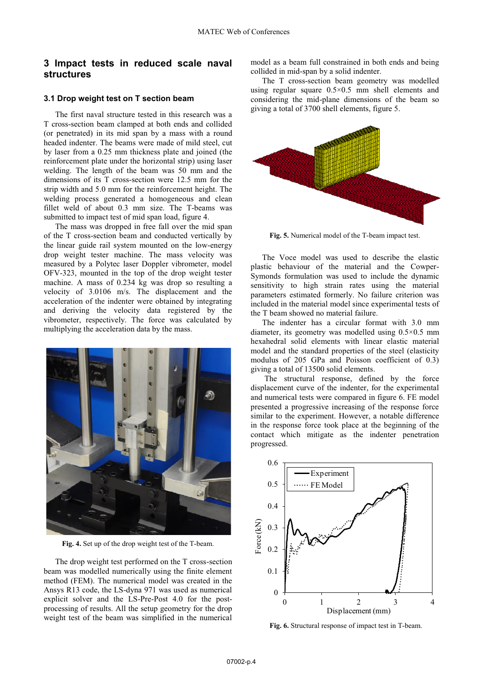## **3 Impact tests in reduced scale naval structures**

### **3.1 Drop weight test on T section beam**

 The first naval structure tested in this research was a T cross-section beam clamped at both ends and collided (or penetrated) in its mid span by a mass with a round headed indenter. The beams were made of mild steel, cut by laser from a 0.25 mm thickness plate and joined (the reinforcement plate under the horizontal strip) using laser welding. The length of the beam was 50 mm and the dimensions of its T cross-section were 12.5 mm for the strip width and 5.0 mm for the reinforcement height. The welding process generated a homogeneous and clean fillet weld of about 0.3 mm size. The T-beams was submitted to impact test of mid span load, figure 4.

 The mass was dropped in free fall over the mid span of the T cross-section beam and conducted vertically by the linear guide rail system mounted on the low-energy drop weight tester machine. The mass velocity was measured by a Polytec laser Doppler vibrometer, model OFV-323, mounted in the top of the drop weight tester machine. A mass of 0.234 kg was drop so resulting a velocity of 3.0106 m/s. The displacement and the acceleration of the indenter were obtained by integrating and deriving the velocity data registered by the vibrometer, respectively. The force was calculated by multiplying the acceleration data by the mass.



**Fig. 4.** Set up of the drop weight test of the T-beam.

 The drop weight test performed on the T cross-section beam was modelled numerically using the finite element method (FEM). The numerical model was created in the Ansys R13 code, the LS-dyna 971 was used as numerical explicit solver and the LS-Pre-Post 4.0 for the postprocessing of results. All the setup geometry for the drop weight test of the beam was simplified in the numerical

model as a beam full constrained in both ends and being collided in mid-span by a solid indenter.

 The T cross-section beam geometry was modelled using regular square 0.5×0.5 mm shell elements and considering the mid-plane dimensions of the beam so giving a total of 3700 shell elements, figure 5.



**Fig. 5.** Numerical model of the T-beam impact test.

 The Voce model was used to describe the elastic plastic behaviour of the material and the Cowper-Symonds formulation was used to include the dynamic sensitivity to high strain rates using the material parameters estimated formerly. No failure criterion was included in the material model since experimental tests of the T beam showed no material failure.

 The indenter has a circular format with 3.0 mm diameter, its geometry was modelled using 0.5×0.5 mm hexahedral solid elements with linear elastic material model and the standard properties of the steel (elasticity modulus of 205 GPa and Poisson coefficient of 0.3) giving a total of 13500 solid elements.

 The structural response, defined by the force displacement curve of the indenter, for the experimental and numerical tests were compared in figure 6. FE model presented a progressive increasing of the response force similar to the experiment. However, a notable difference in the response force took place at the beginning of the contact which mitigate as the indenter penetration progressed.



**Fig. 6.** Structural response of impact test in T-beam.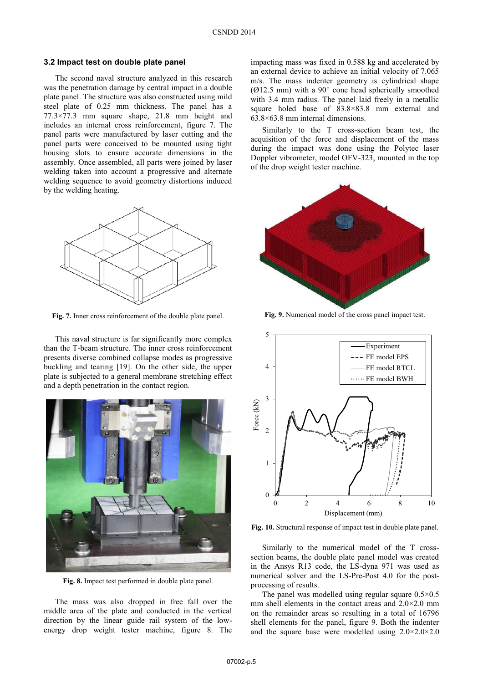#### **3.2 Impact test on double plate panel**

 The second naval structure analyzed in this research was the penetration damage by central impact in a double plate panel. The structure was also constructed using mild steel plate of 0.25 mm thickness. The panel has a 77.3×77.3 mm square shape, 21.8 mm height and includes an internal cross reinforcement, figure 7. The panel parts were manufactured by laser cutting and the panel parts were conceived to be mounted using tight housing slots to ensure accurate dimensions in the assembly. Once assembled, all parts were joined by laser welding taken into account a progressive and alternate welding sequence to avoid geometry distortions induced by the welding heating.



**Fig. 7.** Inner cross reinforcement of the double plate panel.

This naval structure is far significantly more complex than the T-beam structure. The inner cross reinforcement presents diverse combined collapse modes as progressive buckling and tearing [19]. On the other side, the upper plate is subjected to a general membrane stretching effect and a depth penetration in the contact region.



**Fig. 8.** Impact test performed in double plate panel.

The mass was also dropped in free fall over the middle area of the plate and conducted in the vertical direction by the linear guide rail system of the lowenergy drop weight tester machine, figure 8. The

impacting mass was fixed in 0.588 kg and accelerated by an external device to achieve an initial velocity of 7.065 m/s. The mass indenter geometry is cylindrical shape (Ø12.5 mm) with a 90° cone head spherically smoothed with 3.4 mm radius. The panel laid freely in a metallic square holed base of 83.8×83.8 mm external and 63.8×63.8 mm internal dimensions.

Similarly to the T cross-section beam test, the acquisition of the force and displacement of the mass during the impact was done using the Polytec laser Doppler vibrometer, model OFV-323, mounted in the top of the drop weight tester machine.



**Fig. 9.** Numerical model of the cross panel impact test.



**Fig. 10.** Structural response of impact test in double plate panel.

 Similarly to the numerical model of the T crosssection beams, the double plate panel model was created in the Ansys R13 code, the LS-dyna 971 was used as numerical solver and the LS-Pre-Post 4.0 for the postprocessing of results.

The panel was modelled using regular square  $0.5 \times 0.5$ mm shell elements in the contact areas and  $2.0 \times 2.0$  mm on the remainder areas so resulting in a total of 16796 shell elements for the panel, figure 9. Both the indenter and the square base were modelled using 2.0×2.0×2.0